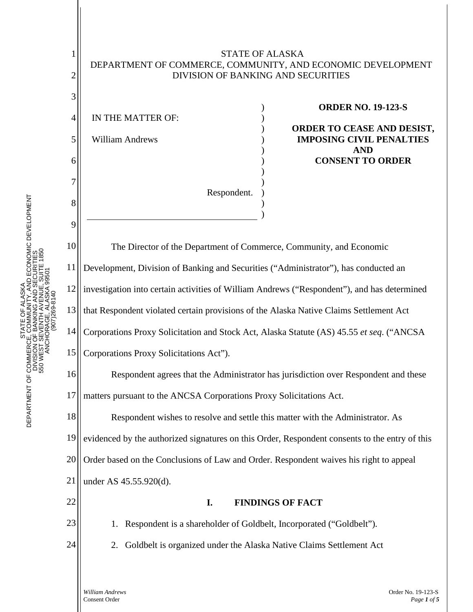## STATE OF ALASKA DEPARTMENT OF COMMERCE, COMMUNITY, AND ECONOMIC DEVELOPMENT DIVISION OF BANKING AND SECURITIES

) ) ) ) ) ) ) ) ) )

)

Respondent.

4 5 6 7 IN THE MATTER OF: William Andrews

1

2

3

8

9

11

23

24

## **ORDER NO. 19-123-S**

**ORDER TO CEASE AND DESIST, IMPOSING CIVIL PENALTIES AND CONSENT TO ORDER**

10 12 13 14 15 16 17 18 19 20 21 22 The Director of the Department of Commerce, Community, and Economic Development, Division of Banking and Securities ("Administrator"), has conducted an investigation into certain activities of William Andrews ("Respondent"), and has determined that Respondent violated certain provisions of the Alaska Native Claims Settlement Act Corporations Proxy Solicitation and Stock Act, Alaska Statute (AS) 45.55 *et seq*. ("ANCSA Corporations Proxy Solicitations Act"). Respondent agrees that the Administrator has jurisdiction over Respondent and these matters pursuant to the ANCSA Corporations Proxy Solicitations Act. Respondent wishes to resolve and settle this matter with the Administrator. As evidenced by the authorized signatures on this Order, Respondent consents to the entry of this Order based on the Conclusions of Law and Order. Respondent waives his right to appeal under AS 45.55.920(d). **I. FINDINGS OF FACT**

1. Respondent is a shareholder of Goldbelt, Incorporated ("Goldbelt").

2. Goldbelt is organized under the Alaska Native Claims Settlement Act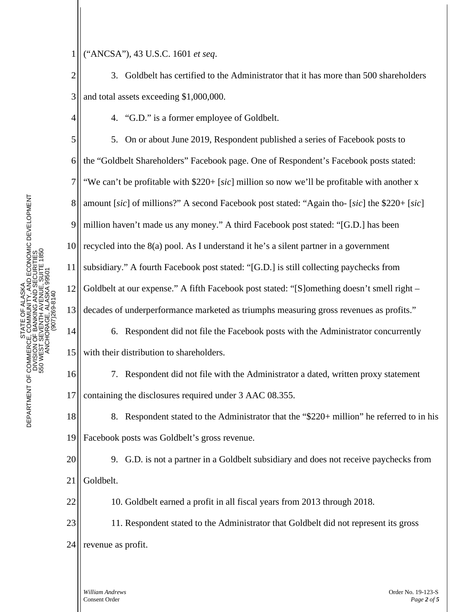1 ("ANCSA"), 43 U.S.C. 1601 *et seq*.

2 3 3. Goldbelt has certified to the Administrator that it has more than 500 shareholders and total assets exceeding \$1,000,000.

4. "G.D." is a former employee of Goldbelt.

5 6 7 8 9 10 11 12 13 5. On or about June 2019, Respondent published a series of Facebook posts to the "Goldbelt Shareholders" Facebook page. One of Respondent's Facebook posts stated: "We can't be profitable with \$220+ [*sic*] million so now we'll be profitable with another x amount [*sic*] of millions?" A second Facebook post stated: "Again tho- [*sic*] the \$220+ [*sic*] million haven't made us any money." A third Facebook post stated: "[G.D.] has been recycled into the 8(a) pool. As I understand it he's a silent partner in a government subsidiary." A fourth Facebook post stated: "[G.D.] is still collecting paychecks from Goldbelt at our expense." A fifth Facebook post stated: "[S]omething doesn't smell right – decades of underperformance marketed as triumphs measuring gross revenues as profits."

6. Respondent did not file the Facebook posts with the Administrator concurrently with their distribution to shareholders.

7. Respondent did not file with the Administrator a dated, written proxy statement containing the disclosures required under 3 AAC 08.355.

18 19 8. Respondent stated to the Administrator that the "\$220+ million" he referred to in his Facebook posts was Goldbelt's gross revenue.

20 21 9. G.D. is not a partner in a Goldbelt subsidiary and does not receive paychecks from Goldbelt.

10. Goldbelt earned a profit in all fiscal years from 2013 through 2018.

23 24 11. Respondent stated to the Administrator that Goldbelt did not represent its gross revenue as profit.

14

15

16

17

22

4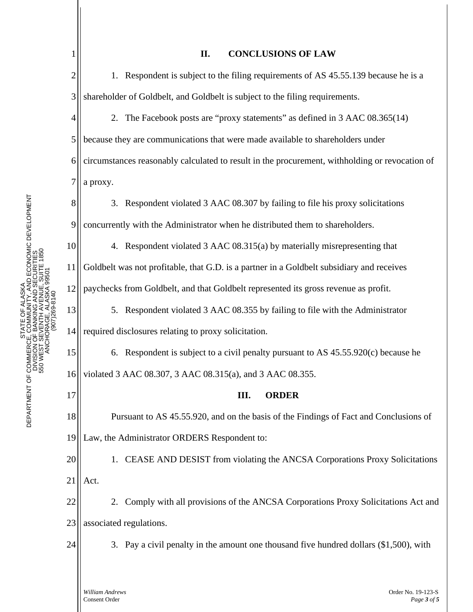| 1              | <b>CONCLUSIONS OF LAW</b><br>П.                                                                |
|----------------|------------------------------------------------------------------------------------------------|
| $\overline{2}$ | 1. Respondent is subject to the filing requirements of AS 45.55.139 because he is a            |
| 3              | shareholder of Goldbelt, and Goldbelt is subject to the filing requirements.                   |
| 4              | 2. The Facebook posts are "proxy statements" as defined in 3 AAC 08.365(14)                    |
| 5              | because they are communications that were made available to shareholders under                 |
| 6              | circumstances reasonably calculated to result in the procurement, withholding or revocation of |
| 7              | a proxy.                                                                                       |
| 8              | 3. Respondent violated 3 AAC 08.307 by failing to file his proxy solicitations                 |
| 9              | concurrently with the Administrator when he distributed them to shareholders.                  |
| 10             | 4. Respondent violated 3 AAC 08.315(a) by materially misrepresenting that                      |
| 11             | Goldbelt was not profitable, that G.D. is a partner in a Goldbelt subsidiary and receives      |
| 12             | paychecks from Goldbelt, and that Goldbelt represented its gross revenue as profit.            |
| 13             | 5. Respondent violated 3 AAC 08.355 by failing to file with the Administrator                  |
| 14             | required disclosures relating to proxy solicitation.                                           |
| 15             | 6. Respondent is subject to a civil penalty pursuant to AS 45.55.920(c) because he             |
| 16             | violated 3 AAC 08.307, 3 AAC 08.315(a), and 3 AAC 08.355.                                      |
| 17             | Ш.<br><b>ORDER</b>                                                                             |
| 18             | Pursuant to AS 45.55.920, and on the basis of the Findings of Fact and Conclusions of          |
| 19             | Law, the Administrator ORDERS Respondent to:                                                   |
| 20             | 1. CEASE AND DESIST from violating the ANCSA Corporations Proxy Solicitations                  |
| 21             | Act.                                                                                           |
| 22             | 2. Comply with all provisions of the ANCSA Corporations Proxy Solicitations Act and            |
| 23             | associated regulations.                                                                        |
| 24             | 3. Pay a civil penalty in the amount one thousand five hundred dollars (\$1,500), with         |
|                |                                                                                                |
|                | William Andrews<br>Order No. 19-123-S<br>Consent Order<br>Page 3 of 5                          |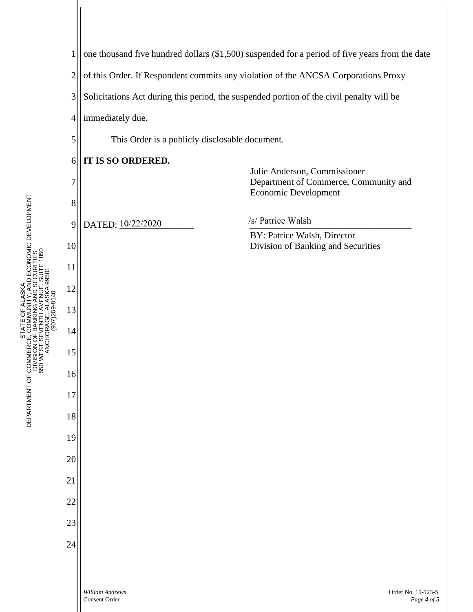

STATE OF ALASKA

STATE OF ALASKA